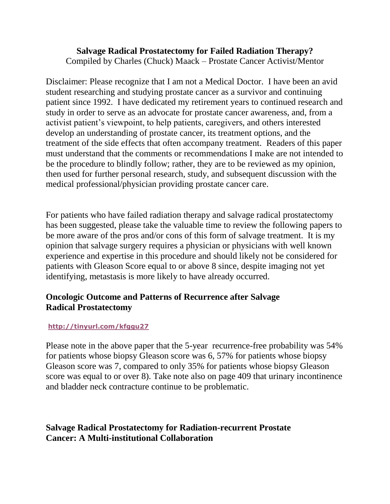# **Salvage Radical Prostatectomy for Failed Radiation Therapy?**

Compiled by Charles (Chuck) Maack – Prostate Cancer Activist/Mentor

Disclaimer: Please recognize that I am not a Medical Doctor. I have been an avid student researching and studying prostate cancer as a survivor and continuing patient since 1992. I have dedicated my retirement years to continued research and study in order to serve as an advocate for prostate cancer awareness, and, from a activist patient's viewpoint, to help patients, caregivers, and others interested develop an understanding of prostate cancer, its treatment options, and the treatment of the side effects that often accompany treatment. Readers of this paper must understand that the comments or recommendations I make are not intended to be the procedure to blindly follow; rather, they are to be reviewed as my opinion, then used for further personal research, study, and subsequent discussion with the medical professional/physician providing prostate cancer care.

For patients who have failed radiation therapy and salvage radical prostatectomy has been suggested, please take the valuable time to review the following papers to be more aware of the pros and/or cons of this form of salvage treatment. It is my opinion that salvage surgery requires a physician or physicians with well known experience and expertise in this procedure and should likely not be considered for patients with Gleason Score equal to or above 8 since, despite imaging not yet identifying, metastasis is more likely to have already occurred.

## **Oncologic Outcome and Patterns of Recurrence after Salvage Radical Prostatectomy**

#### **<http://tinyurl.com/kfggu27>**

Please note in the above paper that the 5-year recurrence-free probability was 54% for patients whose biopsy Gleason score was 6, 57% for patients whose biopsy Gleason score was 7, compared to only 35% for patients whose biopsy Gleason score was equal to or over 8). Take note also on page 409 that urinary incontinence and bladder neck contracture continue to be problematic.

## **Salvage Radical Prostatectomy for Radiation-recurrent Prostate Cancer: A Multi-institutional Collaboration**